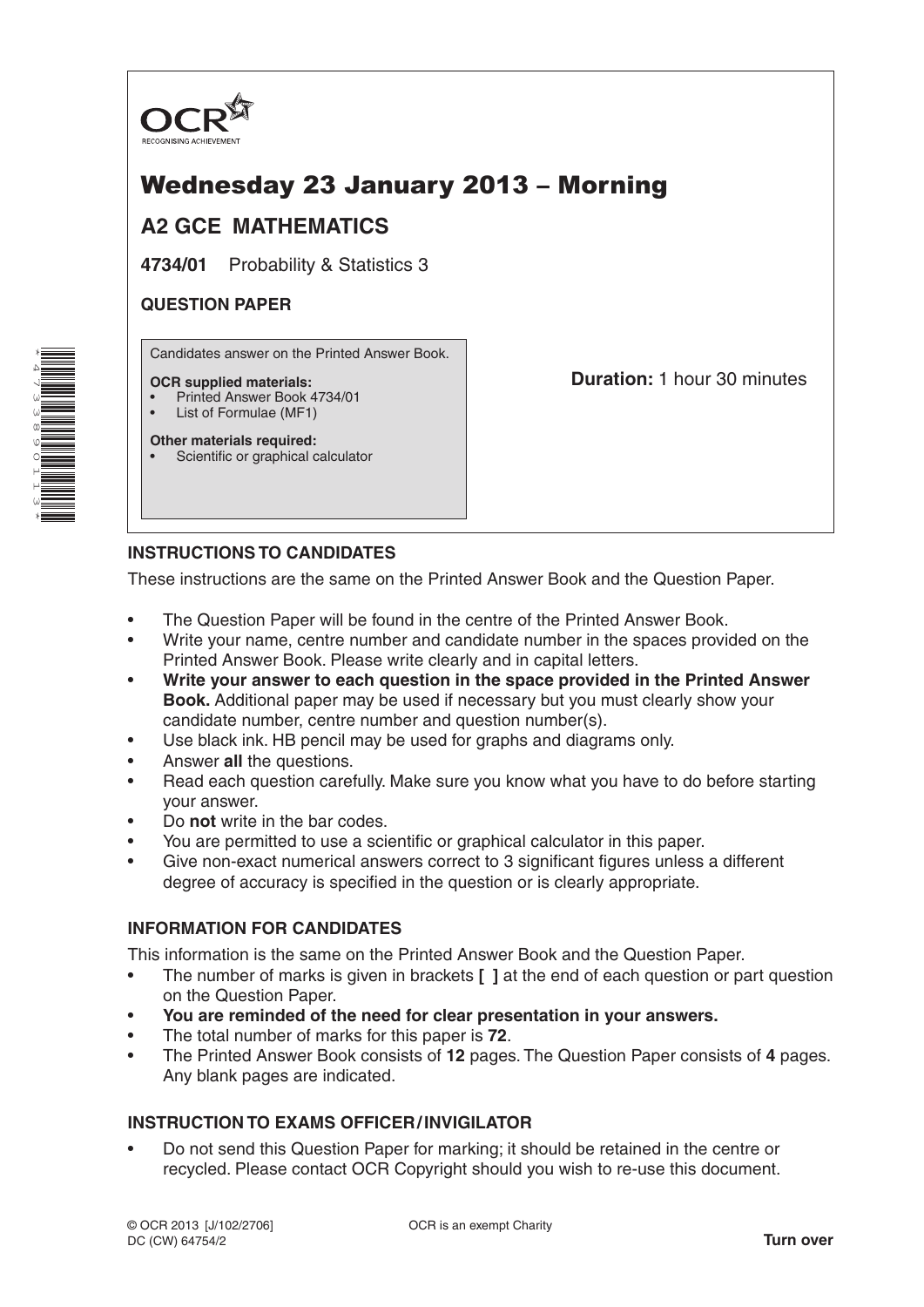

# Wednesday 23 January 2013 – Morning

# **A2 GCE MATHEMATICS**

**4734/01** Probability & Statistics 3

## **QUESTION PAPER**

\*4 $\overline{\phantom{0}}$ W ω  $^\alpha$ 6 011ω \* Candidates answer on the Printed Answer Book.

#### **OCR supplied materials:**

- Printed Answer Book 4734/01
- List of Formulae (MF1)

**Other materials required:**

Scientific or graphical calculator

**Duration:** 1 hour 30 minutes

## **INSTRUCTIONS TO CANDIDATES**

These instructions are the same on the Printed Answer Book and the Question Paper.

- The Question Paper will be found in the centre of the Printed Answer Book.
- Write your name, centre number and candidate number in the spaces provided on the Printed Answer Book. Please write clearly and in capital letters.
- **Write your answer to each question in the space provided in the Printed Answer Book.** Additional paper may be used if necessary but you must clearly show your candidate number, centre number and question number(s).
- Use black ink. HB pencil may be used for graphs and diagrams only.
- Answer **all** the questions.
- Read each question carefully. Make sure you know what you have to do before starting your answer.
- Do **not** write in the bar codes.
- You are permitted to use a scientific or graphical calculator in this paper.
- Give non-exact numerical answers correct to 3 significant figures unless a different degree of accuracy is specified in the question or is clearly appropriate.

#### **INFORMATION FOR CANDIDATES**

This information is the same on the Printed Answer Book and the Question Paper.

- The number of marks is given in brackets **[ ]** at the end of each question or part question on the Question Paper.
- **You are reminded of the need for clear presentation in your answers.**
- The total number of marks for this paper is **72**.
- The Printed Answer Book consists of **12** pages. The Question Paper consists of **4** pages. Any blank pages are indicated.

### **INSTRUCTION TO EXAMS OFFICER/INVIGILATOR**

• Do not send this Question Paper for marking; it should be retained in the centre or recycled. Please contact OCR Copyright should you wish to re-use this document.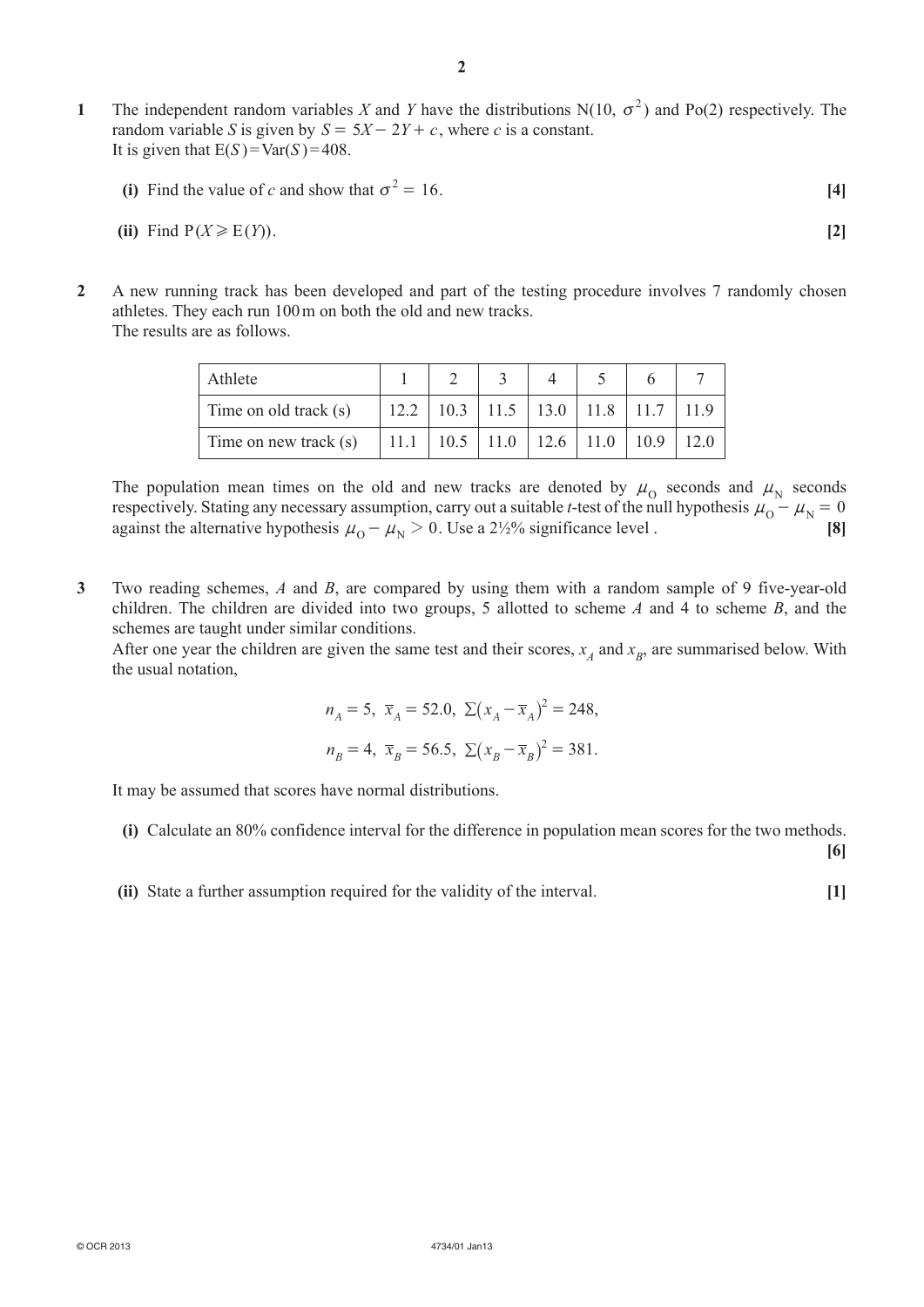- **1** The independent random variables *X* and *Y* have the distributions N(10,  $\sigma^2$ ) and Po(2) respectively. The random variable *S* is given by  $S = 5X - 2Y + c$ , where *c* is a constant. It is given that  $E(S) = Var(S) = 408$ .
	- **(i)** Find the value of *c* and show that  $\sigma^2 = 16$ . [4]

(ii) Find 
$$
P(X \ge E(Y))
$$
.  $[2]$ 

**2**  A new running track has been developed and part of the testing procedure involves 7 randomly chosen athletes. They each run 100m on both the old and new tracks. The results are as follows.

| Athlete               |  |                                                  |  |  |
|-----------------------|--|--------------------------------------------------|--|--|
| Time on old track (s) |  | $12.2$   10.3   11.5   13.0   11.8   11.7   11.9 |  |  |
| Time on new track (s) |  | 11.1   10.5   11.0   12.6   11.0   10.9   12.0   |  |  |

The population mean times on the old and new tracks are denoted by  $\mu_0$  seconds and  $\mu_{\rm N}$  seconds respectively. Stating any necessary assumption, carry out a suitable *t*-test of the null hypothesis  $\mu_0 - \mu_\text{N} = 0$  against the alternative hypothesis  $\mu_0 - \mu_\text{N} > 0$ . Use a 2½% significance level. against the alternative hypothesis  $\mu_0 - \mu_N > 0$ . Use a 2½% significance level.

**3**  Two reading schemes, *A* and *B*, are compared by using them with a random sample of 9 five-year-old children. The children are divided into two groups, 5 allotted to scheme *A* and 4 to scheme *B*, and the schemes are taught under similar conditions.

After one year the children are given the same test and their scores,  $x_A$  and  $x_B$ , are summarised below. With the usual notation,

$$
n_A = 5
$$
,  $\bar{x}_A = 52.0$ ,  $\Sigma (x_A - \bar{x}_A)^2 = 248$ ,  
 $n_B = 4$ ,  $\bar{x}_B = 56.5$ ,  $\Sigma (x_B - \bar{x}_B)^2 = 381$ .

It may be assumed that scores have normal distributions.

- **(i)** Calculate an 80% confidence interval for the difference in population mean scores for the two methods.
- **(ii)** State a further assumption required for the validity of the interval. [1]

**[6]**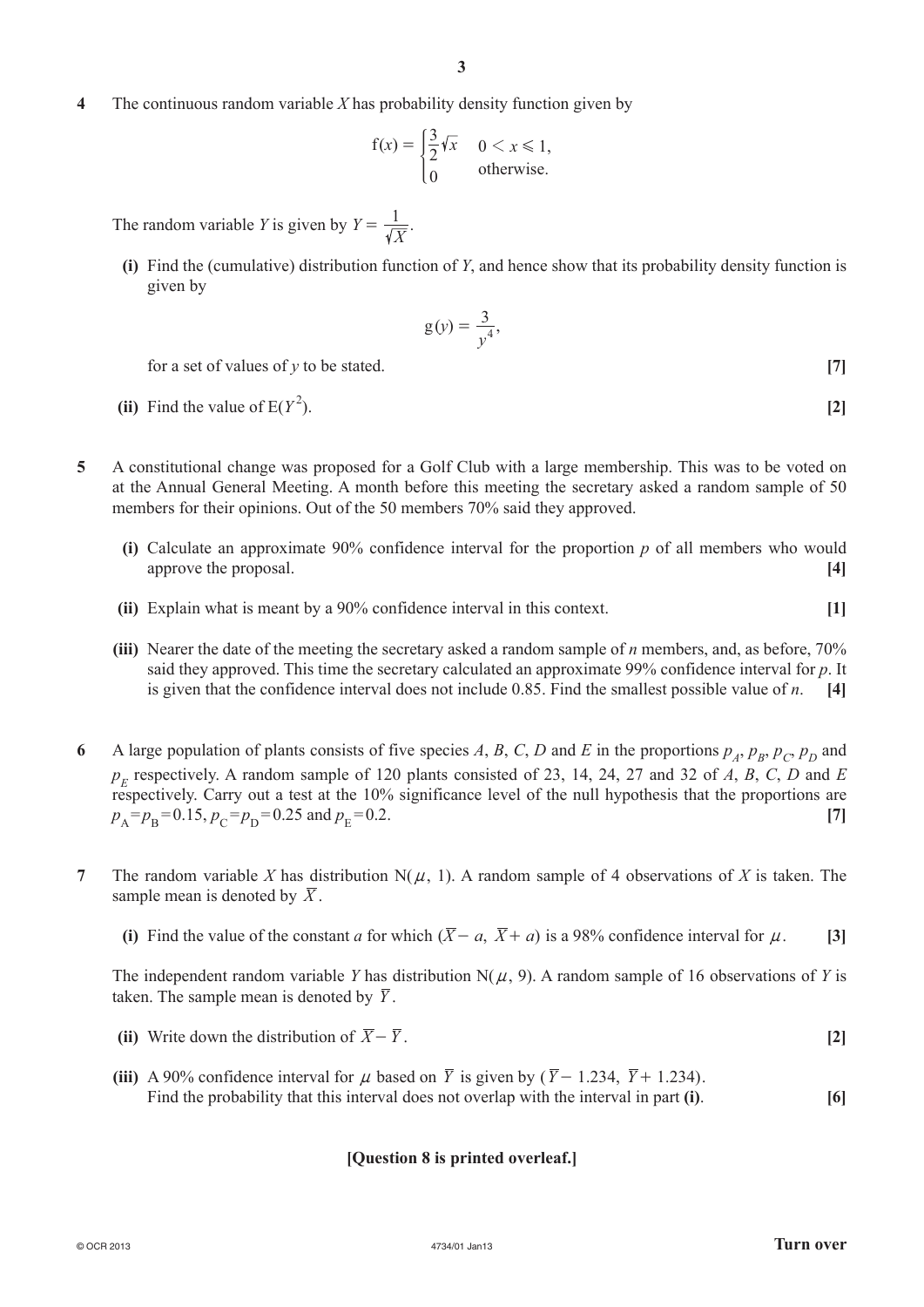**4**  The continuous random variable *X* has probability density function given by

$$
f(x) = \begin{cases} \frac{3}{2}\sqrt{x} & 0 < x \le 1, \\ 0 & \text{otherwise.} \end{cases}
$$

The random variable *Y* is given by  $Y = \frac{1}{\sqrt{X}}$ .

**(i)** Find the (cumulative) distribution function of *Y*, and hence show that its probability density function is given by

$$
g(y) = \frac{3}{y^4},
$$

**for a set of values of** *y* **to be stated. [7]** 

- **(ii)** Find the value of  $E(Y^2)$ . ). **[2]**
- **5**  A constitutional change was proposed for a Golf Club with a large membership. This was to be voted on at the Annual General Meeting. A month before this meeting the secretary asked a random sample of 50 members for their opinions. Out of the 50 members 70% said they approved.
	- **(i)** Calculate an approximate 90% confidence interval for the proportion *p* of all members who would approve the proposal. **[4]**
	- **(ii)** Explain what is meant by a 90% confidence interval in this context. **[1]**
	- **(iii)** Nearer the date of the meeting the secretary asked a random sample of *n* members, and, as before, 70% said they approved. This time the secretary calculated an approximate 99% confidence interval for *p*. It is given that the confidence interval does not include 0.85. Find the smallest possible value of *n*. **[4]**
- **6** A large population of plants consists of five species *A*, *B*, *C*, *D* and *E* in the proportions  $p_A$ ,  $p_B$ ,  $p_C$ ,  $p_D$  and  $p<sub>E</sub>$  respectively. A random sample of 120 plants consisted of 23, 14, 24, 27 and 32 of *A*, *B*, *C*, *D* and *E* respectively. Carry out a test at the 10% significance level of the null hypothesis that the proportions are  $p_A = p_B = 0.15, p_C = p_D = 0.25$  and  $p_E = 0.2$ . [7]
- **7** The random variable *X* has distribution  $N(\mu, 1)$ . A random sample of 4 observations of *X* is taken. The sample mean is denoted by  $\overline{X}$ .
	- **(i)** Find the value of the constant *a* for which  $(\overline{X} a, \overline{X} + a)$  is a 98% confidence interval for  $\mu$ . [3]

The independent random variable *Y* has distribution  $N(\mu, 9)$ . A random sample of 16 observations of *Y* is taken. The sample mean is denoted by  $\overline{Y}$ .

- **(ii)** Write down the distribution of  $\overline{X} \overline{Y}$ . [2]
- (iii) A 90% confidence interval for  $\mu$  based on  $\overline{Y}$  is given by ( $\overline{Y}$  1.234,  $\overline{Y}$  + 1.234). Find the probability that this interval does not overlap with the interval in part **(i)**. [6]

#### **[Question 8 is printed overleaf.]**